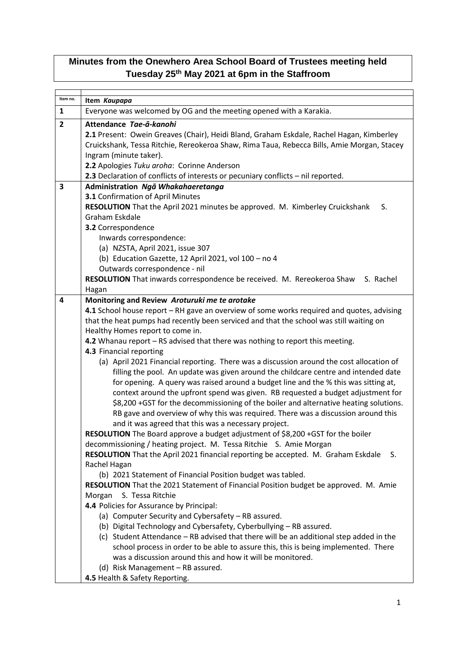## **Minutes from the Onewhero Area School Board of Trustees meeting held Tuesday 25th May 2021 at 6pm in the Staffroom**

| Item no.       | Item Kaupapa                                                                                                                                                  |
|----------------|---------------------------------------------------------------------------------------------------------------------------------------------------------------|
| $\mathbf{1}$   | Everyone was welcomed by OG and the meeting opened with a Karakia.                                                                                            |
| $\overline{2}$ | Attendance Tae-ā-kanohi                                                                                                                                       |
|                | 2.1 Present: Owein Greaves (Chair), Heidi Bland, Graham Eskdale, Rachel Hagan, Kimberley                                                                      |
|                | Cruickshank, Tessa Ritchie, Rereokeroa Shaw, Rima Taua, Rebecca Bills, Amie Morgan, Stacey                                                                    |
|                | Ingram (minute taker).                                                                                                                                        |
|                | 2.2 Apologies Tuku aroha: Corinne Anderson                                                                                                                    |
|                | 2.3 Declaration of conflicts of interests or pecuniary conflicts - nil reported.                                                                              |
| 3              | Administration Ngā Whakahaeretanga                                                                                                                            |
|                | 3.1 Confirmation of April Minutes                                                                                                                             |
|                | RESOLUTION That the April 2021 minutes be approved. M. Kimberley Cruickshank<br>S.                                                                            |
|                | Graham Eskdale                                                                                                                                                |
|                | 3.2 Correspondence                                                                                                                                            |
|                | Inwards correspondence:                                                                                                                                       |
|                | (a) NZSTA, April 2021, issue 307                                                                                                                              |
|                | (b) Education Gazette, 12 April 2021, vol 100 - no 4<br>Outwards correspondence - nil                                                                         |
|                | RESOLUTION That inwards correspondence be received. M. Rereokeroa Shaw S. Rachel                                                                              |
|                | Hagan                                                                                                                                                         |
| 4              | Monitoring and Review Aroturuki me te arotake                                                                                                                 |
|                | 4.1 School house report – RH gave an overview of some works required and quotes, advising                                                                     |
|                | that the heat pumps had recently been serviced and that the school was still waiting on                                                                       |
|                | Healthy Homes report to come in.                                                                                                                              |
|                | 4.2 Whanau report - RS advised that there was nothing to report this meeting.                                                                                 |
|                | 4.3 Financial reporting                                                                                                                                       |
|                | (a) April 2021 Financial reporting. There was a discussion around the cost allocation of                                                                      |
|                | filling the pool. An update was given around the childcare centre and intended date                                                                           |
|                | for opening. A query was raised around a budget line and the % this was sitting at,                                                                           |
|                | context around the upfront spend was given. RB requested a budget adjustment for                                                                              |
|                | \$8,200 +GST for the decommissioning of the boiler and alternative heating solutions.                                                                         |
|                | RB gave and overview of why this was required. There was a discussion around this                                                                             |
|                | and it was agreed that this was a necessary project.                                                                                                          |
|                | RESOLUTION The Board approve a budget adjustment of \$8,200 +GST for the boiler                                                                               |
|                | decommissioning / heating project. M. Tessa Ritchie S. Amie Morgan<br>RESOLUTION That the April 2021 financial reporting be accepted. M. Graham Eskdale<br>S. |
|                | Rachel Hagan                                                                                                                                                  |
|                | (b) 2021 Statement of Financial Position budget was tabled.                                                                                                   |
|                | RESOLUTION That the 2021 Statement of Financial Position budget be approved. M. Amie                                                                          |
|                | Morgan<br>S. Tessa Ritchie                                                                                                                                    |
|                | 4.4 Policies for Assurance by Principal:                                                                                                                      |
|                | (a) Computer Security and Cybersafety - RB assured.                                                                                                           |
|                | (b) Digital Technology and Cybersafety, Cyberbullying - RB assured.                                                                                           |
|                | (c) Student Attendance - RB advised that there will be an additional step added in the                                                                        |
|                | school process in order to be able to assure this, this is being implemented. There                                                                           |
|                | was a discussion around this and how it will be monitored.                                                                                                    |
|                | (d) Risk Management - RB assured.                                                                                                                             |
|                | 4.5 Health & Safety Reporting.                                                                                                                                |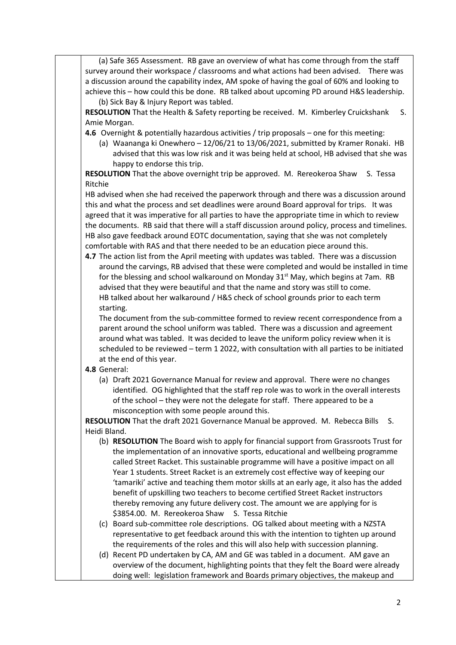(a) Safe 365 Assessment. RB gave an overview of what has come through from the staff survey around their workspace / classrooms and what actions had been advised. There was a discussion around the capability index, AM spoke of having the goal of 60% and looking to achieve this – how could this be done. RB talked about upcoming PD around H&S leadership. (b) Sick Bay & Injury Report was tabled.

**RESOLUTION** That the Health & Safety reporting be received. M. Kimberley Cruickshank S. Amie Morgan.

- **4.6** Overnight & potentially hazardous activities / trip proposals one for this meeting:
	- (a) Waananga ki Onewhero 12/06/21 to 13/06/2021, submitted by Kramer Ronaki. HB advised that this was low risk and it was being held at school, HB advised that she was happy to endorse this trip.

**RESOLUTION** That the above overnight trip be approved. M. Rereokeroa Shaw S. Tessa Ritchie

HB advised when she had received the paperwork through and there was a discussion around this and what the process and set deadlines were around Board approval for trips. It was agreed that it was imperative for all parties to have the appropriate time in which to review the documents. RB said that there will a staff discussion around policy, process and timelines. HB also gave feedback around EOTC documentation, saying that she was not completely comfortable with RAS and that there needed to be an education piece around this.

**4.7** The action list from the April meeting with updates was tabled. There was a discussion around the carvings, RB advised that these were completed and would be installed in time for the blessing and school walkaround on Monday  $31<sup>st</sup>$  May, which begins at 7am. RB advised that they were beautiful and that the name and story was still to come. HB talked about her walkaround / H&S check of school grounds prior to each term starting.

The document from the sub-committee formed to review recent correspondence from a parent around the school uniform was tabled. There was a discussion and agreement around what was tabled. It was decided to leave the uniform policy review when it is scheduled to be reviewed – term 1 2022, with consultation with all parties to be initiated at the end of this year.

- **4.8** General:
	- (a) Draft 2021 Governance Manual for review and approval. There were no changes identified. OG highlighted that the staff rep role was to work in the overall interests of the school – they were not the delegate for staff. There appeared to be a misconception with some people around this.

**RESOLUTION** That the draft 2021 Governance Manual be approved. M. Rebecca Bills S. Heidi Bland.

- (b) **RESOLUTION** The Board wish to apply for financial support from Grassroots Trust for the implementation of an innovative sports, educational and wellbeing programme called Street Racket. This sustainable programme will have a positive impact on all Year 1 students. Street Racket is an extremely cost effective way of keeping our 'tamariki' active and teaching them motor skills at an early age, it also has the added benefit of upskilling two teachers to become certified Street Racket instructors thereby removing any future delivery cost. The amount we are applying for is \$3854.00. M. Rereokeroa Shaw S. Tessa Ritchie
- (c) Board sub-committee role descriptions. OG talked about meeting with a NZSTA representative to get feedback around this with the intention to tighten up around the requirements of the roles and this will also help with succession planning.
- (d) Recent PD undertaken by CA, AM and GE was tabled in a document. AM gave an overview of the document, highlighting points that they felt the Board were already doing well: legislation framework and Boards primary objectives, the makeup and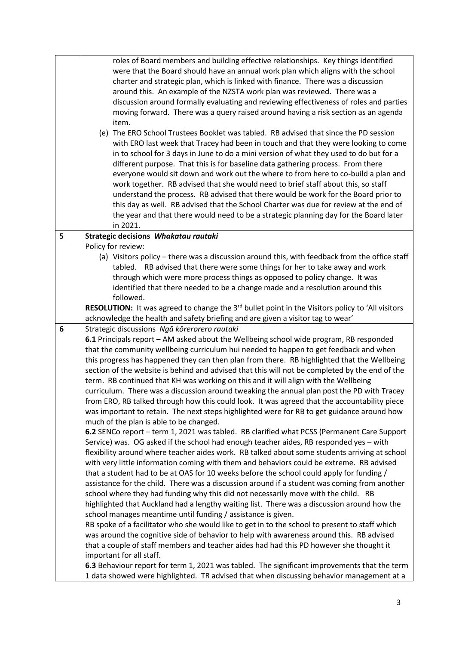|   | roles of Board members and building effective relationships. Key things identified<br>were that the Board should have an annual work plan which aligns with the school<br>charter and strategic plan, which is linked with finance. There was a discussion<br>around this. An example of the NZSTA work plan was reviewed. There was a<br>discussion around formally evaluating and reviewing effectiveness of roles and parties<br>moving forward. There was a query raised around having a risk section as an agenda<br>item.<br>(e) The ERO School Trustees Booklet was tabled. RB advised that since the PD session<br>with ERO last week that Tracey had been in touch and that they were looking to come<br>in to school for 3 days in June to do a mini version of what they used to do but for a<br>different purpose. That this is for baseline data gathering process. From there<br>everyone would sit down and work out the where to from here to co-build a plan and<br>work together. RB advised that she would need to brief staff about this, so staff<br>understand the process. RB advised that there would be work for the Board prior to<br>this day as well. RB advised that the School Charter was due for review at the end of<br>the year and that there would need to be a strategic planning day for the Board later<br>in 2021. |
|---|------------------------------------------------------------------------------------------------------------------------------------------------------------------------------------------------------------------------------------------------------------------------------------------------------------------------------------------------------------------------------------------------------------------------------------------------------------------------------------------------------------------------------------------------------------------------------------------------------------------------------------------------------------------------------------------------------------------------------------------------------------------------------------------------------------------------------------------------------------------------------------------------------------------------------------------------------------------------------------------------------------------------------------------------------------------------------------------------------------------------------------------------------------------------------------------------------------------------------------------------------------------------------------------------------------------------------------------------------------|
| 5 | Strategic decisions Whakatau rautaki                                                                                                                                                                                                                                                                                                                                                                                                                                                                                                                                                                                                                                                                                                                                                                                                                                                                                                                                                                                                                                                                                                                                                                                                                                                                                                                       |
|   | Policy for review:<br>(a) Visitors policy - there was a discussion around this, with feedback from the office staff<br>tabled. RB advised that there were some things for her to take away and work<br>through which were more process things as opposed to policy change. It was<br>identified that there needed to be a change made and a resolution around this<br>followed.                                                                                                                                                                                                                                                                                                                                                                                                                                                                                                                                                                                                                                                                                                                                                                                                                                                                                                                                                                            |
|   | <b>RESOLUTION:</b> It was agreed to change the 3 <sup>rd</sup> bullet point in the Visitors policy to 'All visitors                                                                                                                                                                                                                                                                                                                                                                                                                                                                                                                                                                                                                                                                                                                                                                                                                                                                                                                                                                                                                                                                                                                                                                                                                                        |
|   | acknowledge the health and safety briefing and are given a visitor tag to wear'                                                                                                                                                                                                                                                                                                                                                                                                                                                                                                                                                                                                                                                                                                                                                                                                                                                                                                                                                                                                                                                                                                                                                                                                                                                                            |
| 6 | Strategic discussions Ngā kōrerorero rautaki<br>6.1 Principals report - AM asked about the Wellbeing school wide program, RB responded<br>that the community wellbeing curriculum hui needed to happen to get feedback and when<br>this progress has happened they can then plan from there. RB highlighted that the Wellbeing<br>section of the website is behind and advised that this will not be completed by the end of the<br>term. RB continued that KH was working on this and it will align with the Wellbeing<br>curriculum. There was a discussion around tweaking the annual plan post the PD with Tracey<br>from ERO, RB talked through how this could look. It was agreed that the accountability piece<br>was important to retain. The next steps highlighted were for RB to get guidance around how<br>much of the plan is able to be changed.<br>6.2 SENCo report - term 1, 2021 was tabled. RB clarified what PCSS (Permanent Care Support                                                                                                                                                                                                                                                                                                                                                                                               |
|   | Service) was. OG asked if the school had enough teacher aides, RB responded yes - with<br>flexibility around where teacher aides work. RB talked about some students arriving at school<br>with very little information coming with them and behaviors could be extreme. RB advised<br>that a student had to be at OAS for 10 weeks before the school could apply for funding /<br>assistance for the child. There was a discussion around if a student was coming from another<br>school where they had funding why this did not necessarily move with the child. RB<br>highlighted that Auckland had a lengthy waiting list. There was a discussion around how the<br>school manages meantime until funding / assistance is given.<br>RB spoke of a facilitator who she would like to get in to the school to present to staff which<br>was around the cognitive side of behavior to help with awareness around this. RB advised<br>that a couple of staff members and teacher aides had had this PD however she thought it<br>important for all staff.                                                                                                                                                                                                                                                                                                  |
|   | 6.3 Behaviour report for term 1, 2021 was tabled. The significant improvements that the term<br>1 data showed were highlighted. TR advised that when discussing behavior management at a                                                                                                                                                                                                                                                                                                                                                                                                                                                                                                                                                                                                                                                                                                                                                                                                                                                                                                                                                                                                                                                                                                                                                                   |